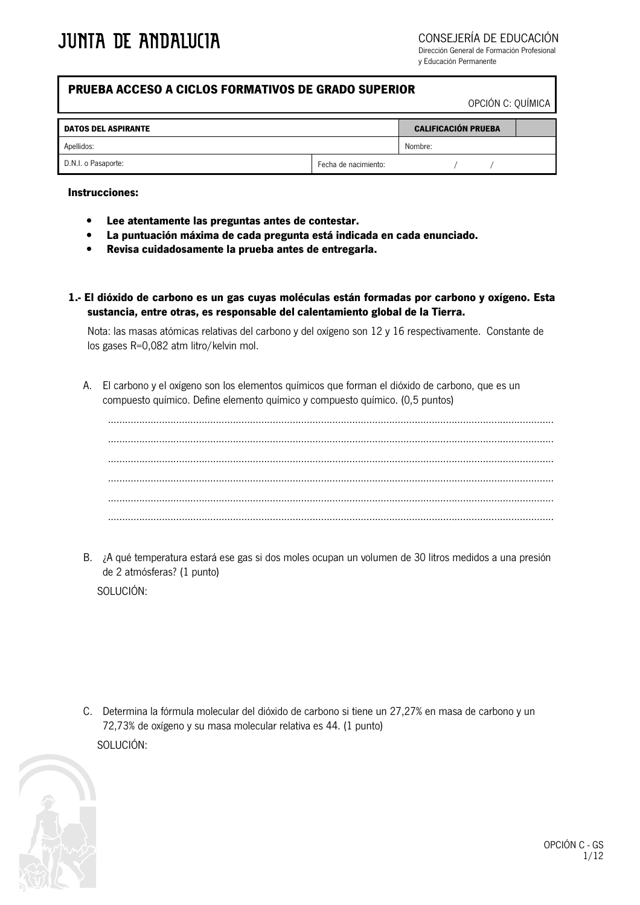CONSEJERÍA DE EDUCACIÓN

Dirección General de Formación Profesional v Educación Permanente

#### PRUEBA ACCESO A CICLOS FORMATIVOS DE GRADO SUPERIOR

OPCIÓN C: OUÍMICA

| <b>DATOS DEL ASPIRANTE</b> |                      | <b>CALIFICACIÓN PRUEBA</b> |  |  |
|----------------------------|----------------------|----------------------------|--|--|
| Apellidos:                 |                      | Nombre:                    |  |  |
| D.N.I. o Pasaporte:        | Fecha de nacimiento: |                            |  |  |

#### **Instrucciones:**

- Lee atentamente las preguntas antes de contestar.
- La puntuación máxima de cada pregunta está indicada en cada enunciado.
- Revisa cuidadosamente la prueba antes de entregarla.
- 1.- El dióxido de carbono es un gas cuyas moléculas están formadas por carbono y oxígeno. Esta sustancia, entre otras, es responsable del calentamiento global de la Tierra.

Nota: las masas atómicas relativas del carbono y del oxígeno son 12 y 16 respectivamente. Constante de los gases R=0,082 atm litro/kelvin mol.

A. El carbono y el oxígeno son los elementos químicos que forman el dióxido de carbono, que es un compuesto químico. Define elemento químico y compuesto químico. (0,5 puntos)

B. ¿A qué temperatura estará ese gas si dos moles ocupan un volumen de 30 litros medidos a una presión de 2 atmósferas? (1 punto)

SOLUCIÓN:

C. Determina la fórmula molecular del dióxido de carbono si tiene un 27,27% en masa de carbono y un 72,73% de oxígeno y su masa molecular relativa es 44. (1 punto) SOLUCIÓN:

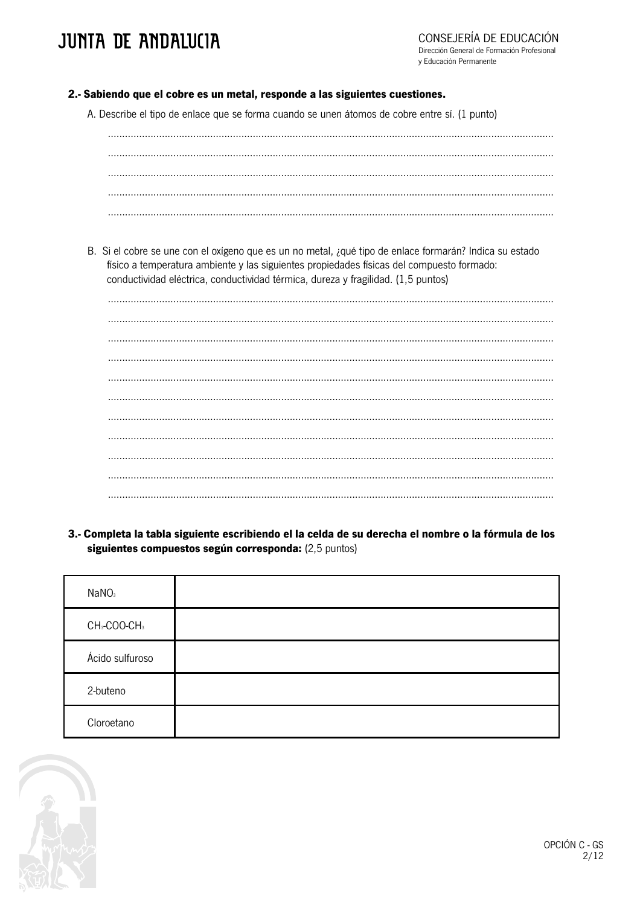## **JUNTA DE ANDALUCIA**

- 2.- Sabiendo que el cobre es un metal, responde a las siguientes cuestiones.
	- A. Describe el tipo de enlace que se forma cuando se unen átomos de cobre entre sí. (1 punto)

B. Si el cobre se une con el oxígeno que es un no metal, ¿qué tipo de enlace formarán? Indica su estado físico a temperatura ambiente y las siguientes propiedades físicas del compuesto formado: conductividad eléctrica, conductividad térmica, dureza y fragilidad. (1.5 puntos)

3.- Completa la tabla siguiente escribiendo el la celda de su derecha el nombre o la fórmula de los siguientes compuestos según corresponda: (2,5 puntos)

| NaNO <sub>3</sub>                    |  |
|--------------------------------------|--|
| CH <sub>3</sub> -COO-CH <sub>3</sub> |  |
| Ácido sulfuroso                      |  |
| 2-buteno                             |  |
| Cloroetano                           |  |

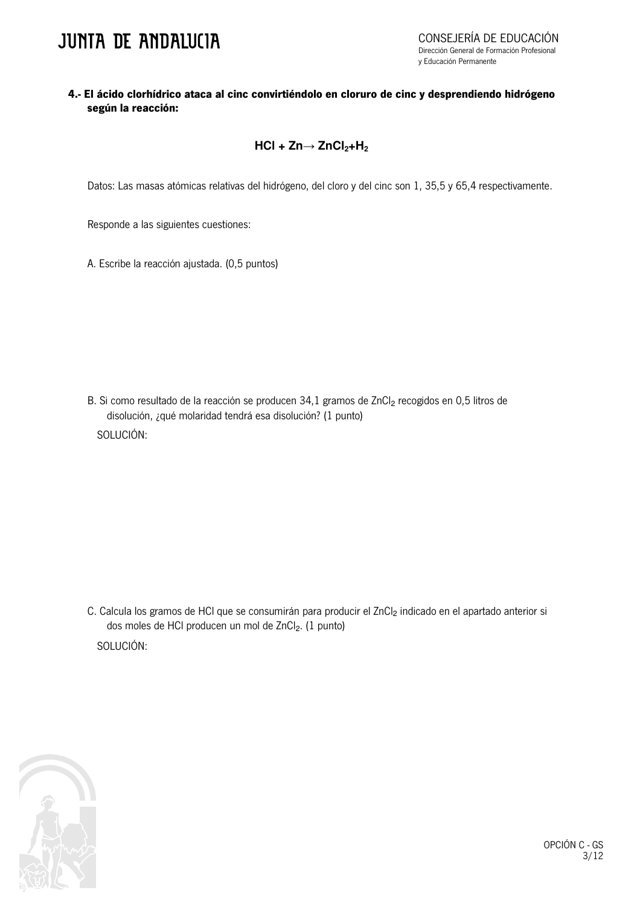### **JUNTA DE ANDALUCIA**

### 4.- El ácido clorhídrico ataca al cinc convirtiéndolo en cloruro de cinc y desprendiendo hidrógeno según la reacción:

### $HCl + Zn \rightarrow ZnCl<sub>2</sub>+H<sub>2</sub>$

Datos: Las masas atómicas relativas del hidrógeno, del cloro y del cinc son 1, 35,5 y 65,4 respectivamente.

Responde a las siguientes cuestiones:

A. Escribe la reacción ajustada. (0,5 puntos)

B. Si como resultado de la reacción se producen 34,1 gramos de ZnCl<sub>2</sub> recogidos en 0,5 litros de disolución, ¿qué molaridad tendrá esa disolución? (1 punto) SOLUCIÓN:

C. Calcula los gramos de HCI que se consumirán para producir el ZnCl<sub>2</sub> indicado en el apartado anterior si dos moles de HCI producen un mol de ZnCl2. (1 punto) SOLUCIÓN:



OPCIÓN C - GS  $3/12$